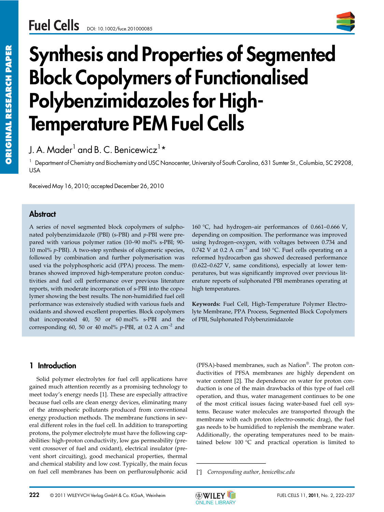

# Synthesis and Properties of Segmented Block Copolymers of Functionalised Polybenzimidazoles for High-Temperature PEM Fuel Cells

J. A. Mader $^{\text{1}}$  and B. C. Benicewicz $^{\text{1}}\text{\text{*}}$ 

<sup>1</sup> Department of Chemistry and Biochemistry and USC Nanocenter, University of South Carolina, 631 Sumter St., Columbia, SC 29208, USA

Received May 16, 2010; accepted December 26, 2010

## **Abstract**

A series of novel segmented block copolymers of sulphonated polybenzimidazole (PBI) (s-PBI) and *p*-PBI were prepared with various polymer ratios (10–90 mol% s-PBI; 90- 10 mol% *p*-PBI). A two-step synthesis of oligomeric species, followed by combination and further polymerisation was used via the polyphosphoric acid (PPA) process. The membranes showed improved high-temperature proton conductivities and fuel cell performance over previous literature reports, with moderate incorporation of s-PBI into the copolymer showing the best results. The non-humidified fuel cell performance was extensively studied with various fuels and oxidants and showed excellent properties. Block copolymers that incorporated 40, 50 or 60 mol% s-PBI and the corresponding 60, 50 or 40 mol%  $p$ -PBI, at 0.2 A cm<sup>-2</sup> and

160 °C, had hydrogen–air performances of 0.661–0.666 V, depending on composition. The performance was improved using hydrogen–oxygen, with voltages between 0.734 and 0.742 V at 0.2 A  $cm^{-2}$  and 160 °C. Fuel cells operating on a reformed hydrocarbon gas showed decreased performance (0.622–0.627 V, same conditions), especially at lower temperatures, but was significantly improved over previous literature reports of sulphonated PBI membranes operating at high temperatures.

**Keywords:** Fuel Cell, High-Temperature Polymer Electrolyte Membrane, PPA Process, Segmented Block Copolymers of PBI, Sulphonated Polybenzimidazole

## 1 Introduction

Solid polymer electrolytes for fuel cell applications have gained much attention recently as a promising technology to meet today's energy needs [1]. These are especially attractive because fuel cells are clean energy devices, eliminating many of the atmospheric pollutants produced from conventional energy production methods. The membrane functions in several different roles in the fuel cell. In addition to transporting protons, the polymer electrolyte must have the following capabilities: high-proton conductivity, low gas permeability (prevent crossover of fuel and oxidant), electrical insulator (prevent short circuiting), good mechanical properties, thermal and chemical stability and low cost. Typically, the main focus on fuel cell membranes has been on perflurosulphonic acid (PFSA)-based membranes, such as Nafion®. The proton conductivities of PFSA membranes are highly dependent on water content [2]. The dependence on water for proton conduction is one of the main drawbacks of this type of fuel cell operation, and thus, water management continues to be one of the most critical issues facing water-based fuel cell systems. Because water molecules are transported through the membrane with each proton (electro-osmotic drag), the fuel gas needs to be humidified to replenish the membrane water. Additionally, the operating temperatures need to be maintained below 100 °C and practical operation is limited to (PFSA)-based membranes,<br>ductivities of PFSA mem<br>water content [2]. The dep<br>duction is one of the main<br>operation, and thus, water<br>of the most critical issues<br>tems. Because water mole<br>membrane with each prote<br>gas needs to b

[\*] *Corresponding author, benice@sc.edu*

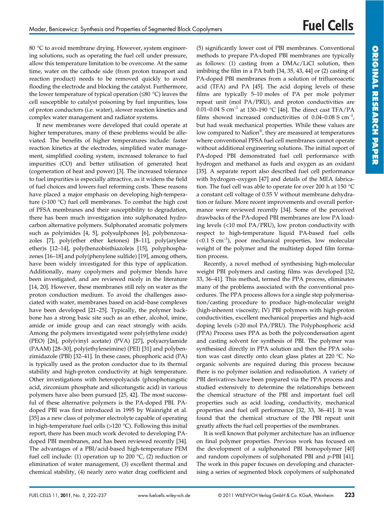80 °C to avoid membrane drying. However, system engineering solutions, such as operating the fuel cell under pressure, allow this temperature limitation to be overcome. At the same time, water on the cathode side (from proton transport and reaction product) needs to be removed quickly to avoid flooding the electrode and blocking the catalyst. Furthermore, the lower temperature of typical operation (≤80 °C) leaves the cell susceptible to catalyst poisoning by fuel impurities, loss of proton conductors (i.e. water), slower reaction kinetics and complex water management and radiator systems.

If new membranes were developed that could operate at higher temperatures, many of these problems would be alleviated. The benefits of higher temperatures include: faster reaction kinetics at the electrodes, simplified water management, simplified cooling system, increased tolerance to fuel impurities (CO) and better utilisation of generated heat (cogeneration of heat and power) [3]. The increased tolerance to fuel impurities is especially attractive, as it widens the field of fuel choices and lowers fuel reforming costs. These reasons have placed a major emphasis on developing high-temperature (>100 °C) fuel cell membranes. To combat the high cost of PFSA membranes and their susceptibility to degradation, there has been much investigation into sulphonated hydrocarbon alternative polymers. Sulphonated aromatic polymers such as polyimides [4, 5], polysulphones [6], polybenzoxazoles [7], poly(ether ether ketones) [8–11], poly(arylene ether)s [12–14], poly(benzobisthiazole)s [15], polyphosphazenes [16–18] and poly(phenylene sulfide) [19], among others, have been widely investigated for this type of application. Additionally, many copolymers and polymer blends have been investigated, and are reviewed nicely in the literature [14, 20]. However, these membranes still rely on water as the proton conduction medium. To avoid the challenges associated with water, membranes based on acid–base complexes have been developed [21–25]. Typically, the polymer backbone has a strong basic site such as an ether, alcohol, imine, amide or imide group and can react strongly with acids. Among the polymers investigated were poly(ethylene oxide) (PEO) [26], poly(vinyl acetate) (PVA) [27], polyacrylamide (PAAM) [28–30], poly(ethyleneimine) (PEI) [31] and polybenzimidazole (PBI) [32–41]. In these cases, phosphoric acid (PA) is typically used as the proton conductor due to its thermal stability and high-proton conductivity at high temperature. Other investigations with heteropolyacids (phosphotungstic acid, zirconium phosphate and silicotungstic acid) in various polymers have also been pursued [25, 42]. The most successful of these alternative polymers is the PA-doped PBI. PAdoped PBI was first introduced in 1995 by Wainright et al. [35] as a new class of polymer electrolyte capable of operating in high-temperature fuel cells (>120 °C). Following this initial report, there has been much work devoted to developing PAdoped PBI membranes, and has been reviewed recently [34]. The advantages of a PBI/acid-based high-temperature PEM fuel cell include: (1) operation up to 200  $\degree$ C, (2) reduction or elimination of water management, (3) excellent thermal and chemical stability, (4) nearly zero water drag coefficient and

(5) significantly lower cost of PBI membranes. Conventional methods to prepare PA-doped PBI membranes are typically as follows: (1) casting from a DMAc/LiCl solution, then imbibing the film in a PA bath [34, 35, 43, 44] or (2) casting of PA-doped PBI membranes from a solution of trifluoroacetic acid (TFA) and PA [45]. The acid doping levels of these films are typically 5–10 moles of PA per mole polymer repeat unit (mol PA/PRU), and proton conductivities are 0.01–0.04 S cm<sup>-1</sup> at 130–190 °C [46]. The direct cast TFA/PA films showed increased conductivities of  $0.04-0.08$  S cm<sup>-1</sup>, but had weak mechanical properties. While these values are low compared to Nafion®, they are measured at temperatures where conventional PFSA fuel cell membranes cannot operate without additional engineering solutions. The initial report of PA-doped PBI demonstrated fuel cell performance with hydrogen and methanol as fuels and oxygen as an oxidant [35]. A separate report also described fuel cell performance with hydrogen–oxygen [47] and details of the MEA fabrication. The fuel cell was able to operate for over 200 h at 150 °C a constant cell voltage of 0.55 V without membrane dehydration or failure. More recent improvements and overall performance were reviewed recently [34]. Some of the perceived drawbacks of the PA-doped PBI membranes are low PA loading levels (<10 mol PA/PRU), low proton conductivity with respect to high-temperature liquid PA-based fuel cells  $(<0.1 S cm<sup>-1</sup>)$ , poor mechanical properties, low molecular weight of the polymer and the multistep doped film formation process.

Recently, a novel method of synthesising high-molecular weight PBI polymers and casting films was developed [32, 33, 36–41]. This method, termed the PPA process, eliminates many of the problems associated with the conventional procedures. The PPA process allows for a single step polymerisation/casting procedure to produce high-molecular weight (high-inherent viscosity; IV) PBI polymers with high-proton conductivities, excellent mechanical properties and high-acid doping levels (>20 mol PA/PRU). The Polyphosphoric acid (PPA) Process uses PPA as both the polycondensation agent and casting solvent for synthesis of PBI. The polymer was synthesised directly in PPA solution and then the PPA solution was cast directly onto clean glass plates at 220 °C. No organic solvents are required during this process because there is no polymer isolation and redissolution. A variety of PBI derivatives have been prepared via the PPA process and studied extensively to determine the relationships between the chemical structure of the PBI and important fuel cell properties such as acid loading, conductivity, mechanical properties and fuel cell performance [32, 33, 36–41]. It was found that the chemical structure of the PBI repeat unit greatly affects the fuel cell properties of the membranes.

It is well known that polymer architecture has an influence on final polymer properties. Previous work has focused on the development of a sulphonated PBI homopolymer [40] and random copolymers of sulphonated PBI and *p*-PBI [41]. The work in this paper focuses on developing and characterising a series of segmented block copolymers of sulphonated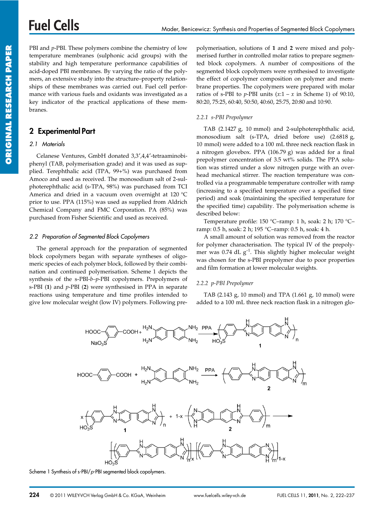PBI and *p*-PBI. These polymers combine the chemistry of low temperature membranes (sulphonic acid groups) with the stability and high temperature performance capabilities of acid-doped PBI membranes. By varying the ratio of the polymers, an extensive study into the structure–property relationships of these membranes was carried out. Fuel cell performance with various fuels and oxidants was investigated as a key indicator of the practical applications of these membranes.

## 2 Experimental Part

## 2.1 Materials

Celanese Ventures, GmbH donated 3,3′,4,4′-tetraaminobiphenyl (TAB, polymerisation grade) and it was used as supplied. Terephthalic acid (TPA, 99+%) was purchased from Amoco and used as received. The monosodium salt of 2-sulphoterephthalic acid (s-TPA, 98%) was purchased from TCI America and dried in a vacuum oven overnight at 120 °C prior to use. PPA (115%) was used as supplied from Aldrich Chemical Company and FMC Corporation. PA (85%) was purchased from Fisher Scientific and used as received.

### 2.2 Preparation of Segmented Block Copolymers

The general approach for the preparation of segmented block copolymers began with separate syntheses of oligomeric species of each polymer block, followed by their combination and continued polymerisation. Scheme 1 depicts the synthesis of the s-PBI-*b–p*-PBI copolymers. Prepolymers of s-PBI (**1**) and *p*-PBI (**2**) were synthesised in PPA in separate reactions using temperature and time profiles intended to give low molecular weight (low IV) polymers. Following prepolymerisation, solutions of **1** and **2** were mixed and polymerised further in controlled molar ratios to prepare segmented block copolymers. A number of compositions of the segmented block copolymers were synthesised to investigate the effect of copolymer composition on polymer and membrane properties. The copolymers were prepared with molar ratios of s-PBI to  $p$ -PBI units  $(x:1 - x \text{ in Scheme 1})$  of 90:10, 80:20, 75:25, 60:40, 50:50, 40:60, 25:75, 20:80 and 10:90.

### *2.2.1 s-PBI Prepolymer*

TAB (2.1427 g, 10 mmol) and 2-sulphoterephthalic acid, monosodium salt (s-TPA, dried before use) (2.6818 g, 10 mmol) were added to a 100 mL three neck reaction flask in a nitrogen glovebox. PPA (106.79 g) was added for a final prepolymer concentration of 3.5 wt% solids. The PPA solution was stirred under a slow nitrogen purge with an overhead mechanical stirrer. The reaction temperature was controlled via a programmable temperature controller with ramp (increasing to a specified temperature over a specified time period) and soak (maintaining the specified temperature for the specified time) capability. The polymerisation scheme is described below:

Temperature profile: 150 °C–ramp: 1 h, soak: 2 h; 170 °C– ramp: 0.5 h, soak: 2 h; 195 °C–ramp: 0.5 h, soak: 4 h.

A small amount of solution was removed from the reactor for polymer characterisation. The typical IV of the prepolymer was 0.74 dL  $g^{-1}$ . This slightly higher molecular weight was chosen for the s-PBI prepolymer due to poor properties and film formation at lower molecular weights.

## *2.2.2 p-PBI Prepolymer*

TAB (2.143 g, 10 mmol) and TPA (1.661 g, 10 mmol) were added to a 100 mL three neck reaction flask in a nitrogen glo-



Scheme 1 Synthesis of s-PBI/p-PBI segmented block copolymers.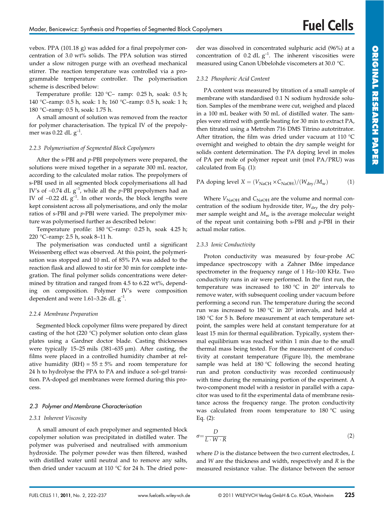vebox. PPA (101.18 g) was added for a final prepolymer concentration of 3.0 wt% solids. The PPA solution was stirred under a slow nitrogen purge with an overhead mechanical stirrer. The reaction temperature was controlled via a programmable temperature controller. The polymerisation scheme is described below:

Temperature profile: 120 °C– ramp: 0.25 h, soak: 0.5 h; 140 °C–ramp: 0.5 h, soak: 1 h; 160 °C–ramp: 0.5 h, soak: 1 h; 180 °C–ramp: 0.5 h, soak: 1.75 h.

A small amount of solution was removed from the reactor for polymer characterisation. The typical IV of the prepolymer was 0.22 dL  $g^{-1}$ .

### *2.2.3 Polymerisation of Segmented Block Copolymers*

After the s-PBI and *p*-PBI prepolymers were prepared, the solutions were mixed together in a separate 300 mL reactor, according to the calculated molar ratios. The prepolymers of s-PBI used in all segmented block copolymerisations all had IV's of ∼0.74 dL g–1, while all the *p*-PBI prepolymers had an IV of ~0.22 dL  $g^{-1}$ . In other words, the block lengths were kept consistent across all polymerisations, and only the molar ratios of s-PBI and *p*-PBI were varied. The prepolymer mixture was polymerised further as described below:

Temperature profile: 180 °C–ramp: 0.25 h, soak 4.25 h; 220 °C–ramp: 2.5 h, soak 8–11 h.

The polymerisation was conducted until a significant Weissenberg effect was observed. At this point, the polymerisation was stopped and 10 mL of 85% PA was added to the reaction flask and allowed to stir for 30 min for complete integration. The final polymer solids concentrations were determined by titration and ranged from 4.5 to 6.22 wt%, depending on composition. Polymer IV's were composition dependent and were 1.61–3.26 dL  $g^{-1}$ .

#### *2.2.4 Membrane Preparation*

Segmented block copolymer films were prepared by direct casting of the hot (220 °C) polymer solution onto clean glass plates using a Gardner doctor blade. Casting thicknesses were typically 15-25 mils  $(381-635 \mu m)$ . After casting, the films were placed in a controlled humidity chamber at relative humidity (RH) =  $55 \pm 5\%$  and room temperature for 24 h to hydrolyse the PPA to PA and induce a sol–gel transition. PA-doped gel membranes were formed during this process.

## 2.3 Polymer and Membrane Characterisation

#### *2.3.1 Inherent Viscosity*

A small amount of each prepolymer and segmented block copolymer solution was precipitated in distilled water. The polymer was pulverised and neutralised with ammonium hydroxide. The polymer powder was then filtered, washed with distilled water until neutral and to remove any salts, then dried under vacuum at 110 °C for 24 h. The dried powder was dissolved in concentrated sulphuric acid (96%) at a concentration of 0.2 dL  $g^{-1}$ . The inherent viscosities were measured using Canon Ubbelohde viscometers at 30.0 °C.

### *2.3.2 Phosphoric Acid Content*

PA content was measured by titration of a small sample of membrane with standardised 0.1 N sodium hydroxide solution. Samples of the membrane were cut, weighed and placed in a 100 mL beaker with 50 mL of distilled water. The samples were stirred with gentle heating for 30 min to extract PA, then titrated using a Metrohm 716 DMS Titrino autotritrator. After titration, the film was dried under vacuum at 110 °C overnight and weighed to obtain the dry sample weight for solids content determination. The PA doping level in moles of PA per mole of polymer repeat unit (mol PA/PRU) was calculated from Eq. (1):

## PA doping level  $X = (V_{\text{NaCH}} \times C_{\text{NaOH}})/(W_{\text{dry}}/M_{\text{w}})$  (1)

Where  $V_{\text{NaOH}}$  and  $C_{\text{NaOH}}$  are the volume and normal concentration of the sodium hydroxide titer,  $W_{\text{dry}}$  the dry polymer sample weight and  $M_w$  is the average molecular weight of the repeat unit containing both s-PBI and *p*-PBI in their actual molar ratios.

#### *2.3.3 Ionic Conductivity*

Proton conductivity was measured by four-probe AC impedance spectroscopy with a Zahner IM6e impedance spectrometer in the frequency range of 1 Hz–100 KHz. Two conductivity runs in air were performed. In the first run, the temperature was increased to 180 °C in 20° intervals to remove water, with subsequent cooling under vacuum before performing a second run. The temperature during the second run was increased to 180 °C in 20° intervals, and held at 180 °C for 5 h. Before measurement at each temperature setpoint, the samples were held at constant temperature for at least 15 min for thermal equilibration. Typically, system thermal equilibrium was reached within 1 min due to the small thermal mass being tested. For the measurement of conductivity at constant temperature (Figure 1b), the membrane sample was held at 180 °C following the second heating run and proton conductivity was recorded continuously with time during the remaining portion of the experiment. A two-component model with a resistor in parallel with a capacitor was used to fit the experimental data of membrane resistance across the frequency range. The proton conductivity was calculated from room temperature to 180 °C using Eq. (2):

$$
\sigma = \frac{D}{L \cdot W \cdot R} \tag{2}
$$

where *D* is the distance between the two current electrodes, *L* and *W* are the thickness and width, respectively and *R* is the measured resistance value. The distance between the sensor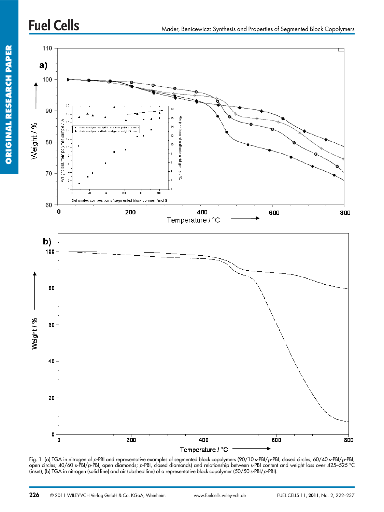

Fig. 1 (a) TGA in nitrogen of p-PBI and representative examples of segmented block copolymers (90/10 s-PBI/p-PBI, closed circles; 60/40 s-PBI/p-PBI, open circles; 40/60 s-PBI/p-PBI, open diamonds; p-PBI, closed diamonds) and relationship between s-PBI content and weight loss over 425–525 °C (inset); (b) TGA in nitrogen (solid line) and air (dashed line) of a representative block copolymer (50/50 s-PBI/p-PBI).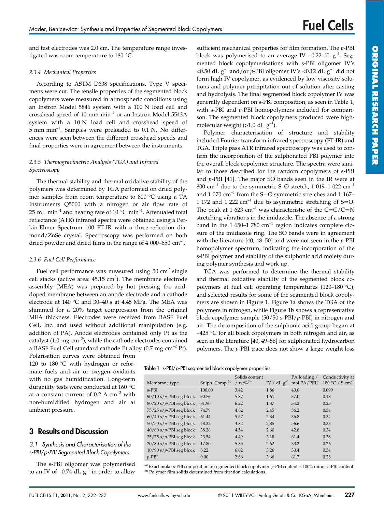and test electrodes was 2.0 cm. The temperature range investigated was room temperature to 180 °C.

### *2.3.4 Mechanical Properties*

According to ASTM D638 specifications, Type V specimens were cut. The tensile properties of the segmented block copolymers were measured in atmospheric conditions using an Instron Model 5846 system with a 100 N load cell and crosshead speed of 10 mm  $min^{-1}$  or an Instron Model 5543A system with a 10 N load cell and crosshead speed of 5 mm min–1. Samples were preloaded to 0.1 N. No differences were seen between the different crosshead speeds and final properties were in agreement between the instruments.

## *2.3.5 Thermogravimetric Analysis (TGA) and Infrared Spectroscopy*

The thermal stability and thermal oxidative stability of the polymers was determined by TGA performed on dried polymer samples from room temperature to 800 °C using a TA Instruments Q5000 with a nitrogen or air flow rate of 25 mL min<sup>-1</sup> and heating rate of 10  $^{\circ}$ C min<sup>-1</sup>. Attenuated total reflectance (ATR) infrared spectra were obtained using a Perkin-Elmer Spectrum 100 FT-IR with a three-reflection diamond/ZnSe crystal. Spectroscopy was performed on both dried powder and dried films in the range of 4 000–650  $cm^{-1}$ .

## *2.3.6 Fuel Cell Performance*

Fuel cell performance was measured using  $50 \text{ cm}^2$  single cell stacks (active area:  $45.15 \text{ cm}^2$ ). The membrane electrode assembly (MEA) was prepared by hot pressing the aciddoped membrane between an anode electrode and a cathode electrode at 140 °C and 30–40 s at 4.45 MPa. The MEA was shimmed for a 20% target compression from the original MEA thickness. Electrodes were received from BASF Fuel Cell, Inc. and used without additional manipulation (e.g. addition of PA). Anode electrodes contained only Pt as the catalyst (1.0 mg  $\text{cm}^{-2}$ ), while the cathode electrodes contained a BASF Fuel Cell standard cathode Pt alloy  $(0.7 \text{ mg cm}^{-2} \text{ Pt})$ .

Polarisation curves were obtained from 120 to 180 °C with hydrogen or reformate fuels and air or oxygen oxidants with no gas humidification. Long-term durability tests were conducted at 160 °C at a constant current of  $0.2 \text{ A cm}^{-2}$  with non-humidified hydrogen and air at ambient pressure.

## 3 Results and Discussion

## 3.1 Synthesis and Characterisation of the s-PBI/p-PBI Segmented Block Copolymers

The s-PBI oligomer was polymerised to an IV of ~0.74 dL  $g^{-1}$  in order to allow sufficient mechanical properties for film formation. The *p*-PBI block was polymerised to an average IV ~0.22 dL  $g^{-1}$ . Segmented block copolymerisations with s-PBI oligomer IV's <0.50 dL  $g^{-1}$  and/or *p*-PBI oligomer IV's <0.12 dL  $g^{-1}$  did not form high IV copolymer, as evidenced by low viscosity solutions and polymer precipitation out of solution after casting and hydrolysis. The final segmented block copolymer IV was generally dependent on s-PBI composition, as seen in Table 1, with s-PBI and *p*-PBI homopolymers included for comparison. The segmented block copolymers produced were highmolecular weight (>1.0 dL  $g^{-1}$ ).

Polymer characterisation of structure and stability included Fourier transform infrared spectroscopy (FT-IR) and TGA. Triple pass ATR infrared spectroscopy was used to confirm the incorporation of the sulphonated PBI polymer into the overall block copolymer structure. The spectra were similar to those described for the random copolymers of s-PBI and *p*-PBI [41]. The major SO bands seen in the IR were at 800 cm<sup>-1</sup> due to the symmetric S–O stretch, 1 019–1 022 cm<sup>-1</sup> and 1 070  $\text{cm}^{-1}$  from the S=O symmetric stretches and 1 167– 1 172 and 1 222  $\text{cm}^{-1}$  due to asymmetric stretching of S=O. The peak at 1 623 cm<sup>-1</sup> was characteristic of the C=C/C=N stretching vibrations in the imidazole. The absence of a strong band in the 1 650–1 780  $cm^{-1}$  region indicates complete closure of the imidazole ring. The SO bands were in agreement with the literature [40, 48–50] and were not seen in the *p*-PBI homopolymer spectrum, indicating the incorporation of the s-PBI polymer and stability of the sulphonic acid moiety during polymer synthesis and work up.

TGA was performed to determine the thermal stability and thermal oxidative stability of the segmented block copolymers at fuel cell operating temperatures (120–180 °C), and selected results for some of the segmented block copolymers are shown in Figure 1. Figure 1a shows the TGA of the polymers in nitrogen, while Figure 1b shows a representative block copolymer sample (50/50 s-PBI/*p*-PBI) in nitrogen and air. The decomposition of the sulphonic acid group began at ∼425 °C for all block copolymers in both nitrogen and air, as seen in the literature [40, 49–58] for sulphonated hydrocarbon polymers. The *p*-PBI trace does not show a large weight loss

|  | Table 1 s-PBI/p-PBI segmented block copolymer properties. |  |  |  |  |
|--|-----------------------------------------------------------|--|--|--|--|
|--|-----------------------------------------------------------|--|--|--|--|

| Membrane type             | Sulph. Comp. <sup>(a)</sup> | Solids content<br>/ $wt\%^{(b)}$ |      | PA loading /<br>IV / dL $g^{-1}$ mol PA/PRU | Conductivity at<br>180 °C / S cm <sup>-1</sup> |
|---------------------------|-----------------------------|----------------------------------|------|---------------------------------------------|------------------------------------------------|
| $s-PBI$                   | 100.00                      | 3.42                             | 1.86 | 40.0                                        | 0.099                                          |
| $90/10$ s/p-PBI seg block | 90.76                       | 5.87                             | 1.61 | 37.0                                        | 0.18                                           |
| $80/20$ s/p-PBI seg block | 81.90                       | 6.22                             | 1.87 | 34.2                                        | 0.23                                           |
| $75/25$ s/p-PBI seg block | 74.79                       | 4.82                             | 2.45 | 56.2                                        | 0.34                                           |
| $60/40$ s/p-PBI seg block | 61.44                       | 5.57                             | 2.34 | 36.8                                        | 0.34                                           |
| $50/50$ s/p-PBI seg block | 48.32                       | 4.82                             | 2.85 | 56.6                                        | 0.33                                           |
| $40/60$ s/p-PBI seg block | 38.26                       | 4.54                             | 2.60 | 42.8                                        | 0.34                                           |
| $25/75$ s/p-PBI seg block | 23.54                       | 4.49                             | 3.18 | 61.4                                        | 0.38                                           |
| $20/80$ s/p-PBI seg block | 17.80                       | 5.85                             | 2.62 | 33.2                                        | 0.26                                           |
| $10/90$ s/p-PBI seg block | 8.22                        | 6.02                             | 3.26 | 30.4                                        | 0.34                                           |
| $p$ -PBI                  | 0.00                        | 2.86                             | 3.66 | 61.7                                        | 0.28                                           |

(a) Exact molar s-PBI composition in segmented block copolymer. *p*-PBI content is 100% minus s-PBI content. (b) Polymer film solids determined from titration calculations.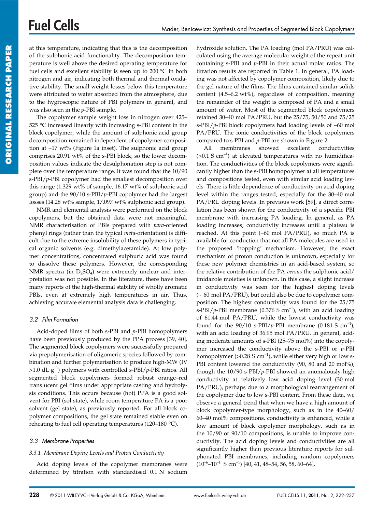at this temperature, indicating that this is the decomposition of the sulphonic acid functionality. The decomposition temperature is well above the desired operating temperature for fuel cells and excellent stability is seen up to 200 °C in both nitrogen and air, indicating both thermal and thermal oxidative stability. The small weight losses below this temperature were attributed to water absorbed from the atmosphere, due to the hygroscopic nature of PBI polymers in general, and was also seen in the *p*-PBI sample.

The copolymer sample weight loss in nitrogen over 425– 525 °C increased linearly with increasing s-PBI content in the block copolymer, while the amount of sulphonic acid group decomposition remained independent of copolymer composition at ∼17 wt% (Figure 1a inset). The sulphonic acid group comprises 20.91 wt% of the s-PBI block, so the lower decomposition values indicate the desulphonation step is not complete over the temperature range. It was found that the 10/90 s-PBI/*p*-PBI copolymer had the smallest decomposition over this range  $(1.329 \text{ wt\% of sample}, 16.17 \text{ wt\% of sulphonic acid})$ group) and the 90/10 s-PBI/*p*-PBI copolymer had the largest losses (14.28 wt% sample, 17.097 wt% sulphonic acid group).

NMR and elemental analysis were performed on the block copolymers, but the obtained data were not meaningful. NMR characterisation of PBIs prepared with *para*-oriented phenyl rings (rather than the typical *meta*-orientation) is difficult due to the extreme insolubility of these polymers in typical organic solvents (e.g. dimethylacetamide). At low polymer concentrations, concentrated sulphuric acid was found to dissolve these polymers. However, the corresponding NMR spectra (in  $D_2SO_4$ ) were extremely unclear and interpretation was not possible. In the literature, there have been many reports of the high-thermal stability of wholly aromatic PBIs, even at extremely high temperatures in air. Thus, achieving accurate elemental analysis data is challenging.

## 3.2 Film Formation

Acid-doped films of both s-PBI and *p*-PBI homopolymers have been previously produced by the PPA process [39, 40]. The segmented block copolymers were successfully prepared via prepolymerisation of oligomeric species followed by combination and further polymerisation to produce high-MW (IV >1.0 dL g–1) polymers with controlled s-PBI/*p*-PBI ratios. All segmented block copolymers formed robust orange–red translucent gel films under appropriate casting and hydrolysis conditions. This occurs because (hot) PPA is a good solvent for PBI (sol state), while room temperature PA is a poor solvent (gel state), as previously reported. For all block copolymer compositions, the gel state remained stable even on reheating to fuel cell operating temperatures (120–180 °C).

## 3.3 Membrane Properties

## *3.3.1 Membrane Doping Levels and Proton Conductivity*

Acid doping levels of the copolymer membranes were determined by titration with standardised 0.1 N sodium

hydroxide solution. The PA loading (mol PA/PRU) was calculated using the average molecular weight of the repeat unit containing s-PBI and *p*-PBI in their actual molar ratios. The titration results are reported in Table 1. In general, PA loading was not affected by copolymer composition, likely due to the gel nature of the films. The films contained similar solids content (4.5–6.2 wt%), regardless of composition, meaning the remainder of the weight is composed of PA and a small amount of water. Most of the segmented block copolymers retained 30–40 mol PA/PRU, but the 25/75, 50/50 and 75/25 s-PBI/*p*-PBI block copolymers had loading levels of ∼60 mol PA/PRU. The ionic conductivities of the block copolymers compared to s-PBI and *p*-PBI are shown in Figure 2.

All membranes showed excellent conductivities  $(>0.1 S cm^{-1})$  at elevated temperatures with no humidification. The conductivities of the block copolymers were significantly higher than the s-PBI homopolymer at all temperatures and compositions tested, even with similar acid loading levels. There is little dependence of conductivity on acid doping level within the ranges tested, especially for the 30–40 mol PA/PRU doping levels. In previous work [59], a direct correlation has been shown for the conductivity of a specific PBI membrane with increasing PA loading. In general, as PA loading increases, conductivity increases until a plateau is reached. At this point (∼60 mol PA/PRU), so much PA is available for conduction that not all PA molecules are used in the proposed 'hopping' mechanism. However, the exact mechanism of proton conduction is unknown, especially for these new polymer chemistries in an acid-based system, so the relative contribution of the PA *versus* the sulphonic acid/ imidazole moieties is unknown. In this case, a slight increase in conductivity was seen for the highest doping levels (∼ 60 mol PA/PRU), but could also be due to copolymer composition. The highest conductivity was found for the 25/75 s-PBI/ $p$ -PBI membrane (0.376 S cm<sup>-1</sup>), with an acid loading of 61.44 mol PA/PRU, while the lowest conductivity was found for the  $90/10$  s-PBI/*p*-PBI membrane (0.181 S cm<sup>-1</sup>), with an acid loading of 36.95 mol PA/PRU. In general, adding moderate amounts of s-PBI (25–75 mol%) into the copolymer increased the conductivity above the s-PBI or *p*-PBI homopolymer ( $>0.28$  S cm<sup>-1</sup>), while either very high or low s-PBI content lowered the conductivity (90, 80 and 20 mol%), though the 10/90 s-PBI/*p*-PBI showed an anomalously high conductivity at relatively low acid doping level (30 mol PA/PRU), perhaps due to a morphological rearrangement of the copolymer due to low s-PBI content. From these data, we observe a general trend that when we have a high amount of block copolymer-type morphology, such as in the 40–60/ 60–40 mol% compositions, conductivity is enhanced, while a low amount of block copolymer morphology, such as in the 10/90 or 90/10 compositions, is unable to improve conductivity. The acid doping levels and conductivities are all significantly higher than previous literature reports for sulphonated PBI membranes, including random copolymers  $(10^{-6} - 10^{-1} \text{ S cm}^{-1})$  [40, 41, 48–54, 56, 58, 60–64].

**ORIGINAL RESEARCH PAPER**

ORIGINAL RESEARCH PAPER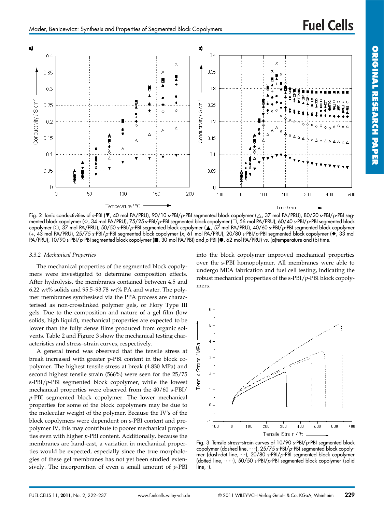**ORIGINAL**

**RESEARCH**

**PAPER** 



Fig. 2 Ionic conductivities of s-PBI ( $\blacktriangledown$ , 40 mol PA/PRU), 90/10 s-PBI/p-PBI segmented block copolymer ( $\triangle$ , 37 mol PA/PRU), 80/20 s-PBI/p-PBI segmented block copolymer ( $\Diamond$ , 34 mol PA/PRU), 75/25 s-PBI/p-PBI segmented block copolymer ( $\Box$ , 56 mol PA/PRU), 60/40 s-PBI/p-PBI segmented block copolymer (0, 37 mol PA/PRU), 50/50 s-PBI/p-PBI segmented block copolymer ( $\triangle$ , 57 mol PA/PRU), 40/60 s-PBI/p-PBI segmented block copolymer (+, 43 mol PA/PRU), 25/75 s-PBI/p-PBI segmented block copolymer (x, 61 mol PA/PRU), 20/80 s-PBI/p-PBI segmented block copolymer (%, 33 mol PA/PRU), 10/90 s-PBI/p-PBI segmented block copolymer (**B**, 30 mol PA/PBI) and p-PBI ( $\bullet$ , 62 mol PA/PRU) vs. (a)temperature and (b) time.

#### *3.3.2 Mechanical Properties*

The mechanical properties of the segmented block copolymers were investigated to determine composition effects. After hydrolysis, the membranes contained between 4.5 and 6.22 wt% solids and 95.5–93.78 wt% PA and water. The polymer membranes synthesised via the PPA process are characterised as non-crosslinked polymer gels, or Flory Type III gels. Due to the composition and nature of a gel film (low solids, high liquid), mechanical properties are expected to be lower than the fully dense films produced from organic solvents. Table 2 and Figure 3 show the mechanical testing characteristics and stress–strain curves, respectively.

A general trend was observed that the tensile stress at break increased with greater p-PBI content in the block copolymer. The highest tensile stress at break (4.830 MPa) and second highest tensile strain (566%) were seen for the 25/75 s-PBI/*p*-PBI segmented block copolymer, while the lowest mechanical properties were observed from the 40/60 s-PBI/ *p*-PBI segmented block copolymer. The lower mechanical properties for some of the block copolymers may be due to the molecular weight of the polymer. Because the IV's of the block copolymers were dependent on s-PBI content and prepolymer IV, this may contribute to poorer mechanical properties even with higher *p*-PBI content. Additionally, because the membranes are hand-cast, a variation in mechanical properties would be expected, especially since the true morphologies of these gel membranes has not yet been studied extensively. The incorporation of even a small amount of *p*-PBI into the block copolymer improved mechanical properties over the s-PBI homopolymer. All membranes were able to undergo MEA fabrication and fuel cell testing, indicating the robust mechanical properties of the s-PBI/*p*-PBI block copolymers.



Fig. 3 Tensile stress–strain curves of 10/90 s-PBI/p-PBI segmented block copolymer (dashed line, - - -), 25/75 s-PBI/p-PBI segmented block copolymer (dash-dot line, -. -), 20/80 s-PBI/p-PBI segmented block copolymer (dotted line, ......), 50/50 s-PBI/p-PBI segmented block copolymer (solid line, -).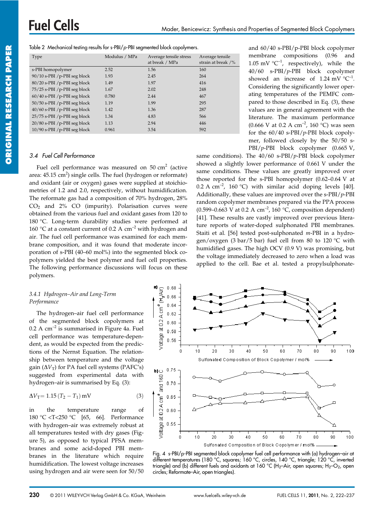|  |  | Table 2 Mechanical testing results for s-PBI/p-PBI segmented block copolymers. |
|--|--|--------------------------------------------------------------------------------|
|  |  |                                                                                |

| Type                           | Modulus / MPa | Average tensile stress<br>at break / MPa | Average tensile<br>strain at break /% |
|--------------------------------|---------------|------------------------------------------|---------------------------------------|
| s-PBI homopolymer              | 2.52          | 1.56                                     | 160                                   |
| 90/10 s-PBI /p-PBI seg block   | 1.93          | 2.45                                     | 264                                   |
| 80/20 s-PBI /p-PBI seg block   | 1.49          | 1.97                                     | 416                                   |
| 75/25 s-PBI /p-PBI seg block   | 1.67          | 2.02                                     | 248                                   |
| $60/40$ s-PBI /p-PBI seg block | 0.780         | 2.44                                     | 467                                   |
| 50/50 s-PBI /p-PBI seg block   | 1.19          | 1.99                                     | 295                                   |
| 40/60 s-PBI /p-PBI seg block   | 1.42          | 1.36                                     | 287                                   |
| 25/75 s-PBI /p-PBI seg block   | 1.34          | 4.83                                     | 566                                   |
| 20/80 s-PBI /p-PBI seg block   | 1.13          | 2.94                                     | 446                                   |
| $10/90$ s-PBI /p-PBI seg block | 0.961         | 3.54                                     | 592                                   |

## 3.4 Fuel Cell Performance

Fuel cell performance was measured on  $50 \text{ cm}^2$  (active area:  $45.15 \text{ cm}^2$ ) single cells. The fuel (hydrogen or reformate) and oxidant (air or oxygen) gases were supplied at stoichiometries of 1.2 and 2.0, respectively, without humidification. The reformate gas had a composition of 70% hydrogen, 28%  $CO<sub>2</sub>$  and 2% CO (impurity). Polarisation curves were obtained from the various fuel and oxidant gases from 120 to 180 °C. Long-term durability studies were performed at 160 °C at a constant current of 0.2 A  $cm^{-2}$  with hydrogen and air. The fuel cell performance was examined for each membrane composition, and it was found that moderate incorporation of s-PBI (40–60 mol%) into the segmented block copolymers yielded the best polymer and fuel cell properties. The following performance discussions will focus on these polymers.

## *3.4.1 Hydrogen–Air and Long-Term Performance*

The hydrogen–air fuel cell performance of the segmented block copolymers at  $0.2$  A cm<sup>-2</sup> is summarised in Figure 4a. Fuel cell performance was temperature-dependent, as would be expected from the predictions of the Nernst Equation. The relationship between temperature and the voltage gain  $(\Delta V_T)$  for PA fuel cell systems (PAFC's) suggested from experimental data with hydrogen–air is summarised by Eq. (3):

$$
\Delta V_{\rm T} = 1.15 (T_2 - T_1) \,\text{mV} \tag{3}
$$

in the temperature range of 180 °C <T<250 °C [65, 66]. Performance with hydrogen–air was extremely robust at all temperatures tested with dry gases (Figure 5), as opposed to typical PFSA membranes and some acid-doped PBI membranes in the literature which require humidification. The lowest voltage increases using hydrogen and air were seen for 50/50 and 60/40 s-PBI/p-PBI block copolymer membrane compositions (0.96 and 1.05 mV  ${}^{\circ}C^{-1}$ , respectively), while the 40/60 s-PBI/*p*-PBI block copolymer showed an increase of 1.24 mV  $^{\circ}C^{-1}$ . Considering the significantly lower operating temperatures of the PEMFC compared to those described in Eq. (3), these values are in general agreement with the literature. The maximum performance (0.666 V at 0.2 A cm<sup>-2</sup>, 160 °C) was seen for the 60/40 s-PBI/*p*-PBI block copolymer, followed closely by the 50/50 s-PBI/*p*-PBI block copolymer (0.665 V,

same conditions). The 40/60 s-PBI/*p*-PBI block copolymer showed a slightly lower performance of 0.661 V under the same conditions. These values are greatly improved over those reported for the s-PBI homopolymer (0.62–0.64 V at 0.2 A cm<sup>-2</sup>, 160 °C) with similar acid doping levels [40]. Additionally, these values are improved over the s-PBI/*p*-PBI random copolymer membranes prepared via the PPA process (0.599–0.663 V at 0.2 A cm<sup>-2</sup>, 160 °C, composition dependent) [41]. These results are vastly improved over previous literature reports of water-doped sulphonated PBI membranes. Staiti et al. [56] tested post-sulphonated *m*-PBI in a hydrogen/oxygen (3 bar/5 bar) fuel cell from 80 to 120 °C with humidified gases. The high OCV (0.9 V) was promising, but the voltage immediately decreased to zero when a load was applied to the cell. Bae et al. tested a propylsulphonate-



Fig. 4 s-PBI/p-PBI segmented block copolymer fuel cell performance with (a) hydrogen–air at different temperatures (180 °C, squares; 160 °C, circles, 140 °C, triangle; 120 °C, inverted triangle) and (b) different fuels and oxidants at 160 °C (H<sub>2</sub>–Air, open squares; H<sub>2</sub>–O<sub>2</sub>, open circles; Reformate–Air, open triangles).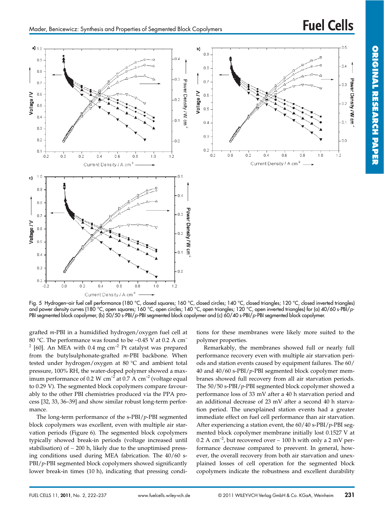

Fig. 5 Hydrogen–air fuel cell performance (180 °C, closed squares; 160 °C, closed circles; 140 °C, closed triangles; 120 °C, closed inverted triangles) and power density curves (180 °C, open squares; 160 °C, open circles; 140 °C, open triangles; 120 °C, open inverted triangles) for (a) 40/60 s-PBI/p-PBI segmented block copolymer, (b) 50/50 s-PBI/p-PBI segmented block copolymer and (c) 60/40 s-PBI/p-PBI segmented block copolymer.

grafted *m*-PBI in a humidified hydrogen/oxygen fuel cell at 80 °C. The performance was found to be ∼0.45 V at 0.2 A cm–  $2$  [60]. An MEA with 0.4 mg cm<sup>-2</sup> Pt catalyst was prepared from the butylsulphonate-grafted *m*-PBI backbone. When tested under hydrogen/oxygen at 80 °C and ambient total pressure, 100% RH, the water-doped polymer showed a maximum performance of 0.2 W cm<sup>-2</sup> at 0.7 A cm<sup>-2</sup> (voltage equal to 0.29 V). The segmented block copolymers compare favourably to the other PBI chemistries produced via the PPA process [32, 33, 36–39] and show similar robust long-term performance.

The long-term performance of the s-PBI/*p*-PBI segmented block copolymers was excellent, even with multiple air starvation periods (Figure 6). The segmented block copolymers typically showed break-in periods (voltage increased until stabilisation) of ∼ 200 h, likely due to the unoptimised pressing conditions used during MEA fabrication. The 40/60 s-PBI/*p*-PBI segmented block copolymers showed significantly lower break-in times (10 h), indicating that pressing condi-

tions for these membranes were likely more suited to the polymer properties.

Remarkably, the membranes showed full or nearly full performance recovery even with multiple air starvation periods and station events caused by equipment failures. The 60/ 40 and 40/60 s-PBI/*p*-PBI segmented block copolymer membranes showed full recovery from all air starvation periods. The 50/50 s-PBI/*p*-PBI segmented block copolymer showed a performance loss of 33 mV after a 40 h starvation period and an additional decrease of 23 mV after a second 40 h starvation period. The unexplained station events had a greater immediate effect on fuel cell performance than air starvation. After experiencing a station event, the 60/40 s-PBI/*p*-PBI segmented block copolymer membrane initially lost 0.1527 V at 0.2 A cm<sup>-2</sup>, but recovered over ~ 100 h with only a 2 mV performance decrease compared to preevent. In general, however, the overall recovery from both air starvation and unexplained losses of cell operation for the segmented block copolymers indicate the robustness and excellent durability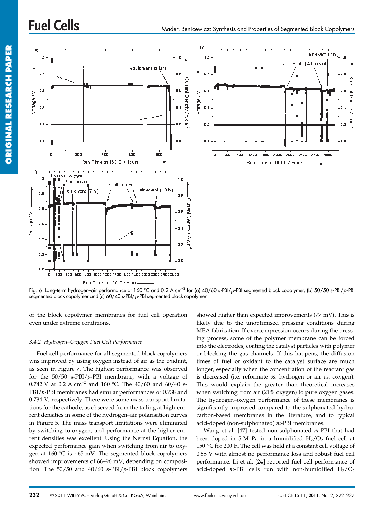

Fig. 6 Long-term hydrogen–air performance at 160 °C and 0.2 A cm<sup>-2</sup> for (a) 40/60 s-PBI/p-PBI segmented block copolymer, (b) 50/50 s-PBI/p-PBI segmented block copolymer and (c) 60/40 s-PBI/p-PBI segmented block copolymer.

of the block copolymer membranes for fuel cell operation even under extreme conditions.

## *3.4.2 Hydrogen–Oxygen Fuel Cell Performance*

Fuel cell performance for all segmented block copolymers was improved by using oxygen instead of air as the oxidant, as seen in Figure 7. The highest performance was observed for the 50/50 s-PBI/*p*-PBI membrane, with a voltage of 0.742 V at 0.2 A  $cm^{-2}$  and 160 °C. The 40/60 and 60/40 s-PBI/*p*-PBI membranes had similar performances of 0.738 and 0.734 V, respectively. There were some mass transport limitations for the cathode, as observed from the tailing at high-current densities in some of the hydrogen–air polarisation curves in Figure 5. The mass transport limitations were eliminated by switching to oxygen, and performance at the higher current densities was excellent. Using the Nernst Equation, the expected performance gain when switching from air to oxygen at 160 °C is ∼65 mV. The segmented block copolymers showed improvements of 66–96 mV, depending on composition. The 50/50 and 40/60 s-PBI/*p*-PBI block copolymers

showed higher than expected improvements (77 mV). This is likely due to the unoptimised pressing conditions during MEA fabrication. If overcompression occurs during the pressing process, some of the polymer membrane can be forced into the electrodes, coating the catalyst particles with polymer or blocking the gas channels. If this happens, the diffusion times of fuel or oxidant to the catalyst surface are much longer, especially when the concentration of the reactant gas is decreased (i.e. reformate *vs.* hydrogen or air *vs.* oxygen). This would explain the greater than theoretical increases when switching from air (21% oxygen) to pure oxygen gases. The hydrogen–oxygen performance of these membranes is significantly improved compared to the sulphonated hydrocarbon-based membranes in the literature, and to typical acid-doped (non-sulphonated) *m*-PBI membranes.

Wang et al. [47] tested non-sulphonated *m*-PBI that had been doped in 5 M Pa in a humidified  $H_2/O_2$  fuel cell at 150 °C for 200 h. The cell was held at a constant cell voltage of 0.55 V with almost no performance loss and robust fuel cell performance. Li et al. [24] reported fuel cell performance of acid-doped  $m$ -PBI cells run with non-humidified  $H_2/O_2$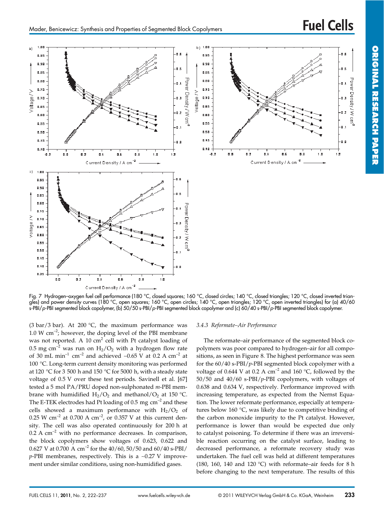

Fig. 7 Hydrogen–oxygen fuel cell performance (180 °C, closed squares; 160 °C, closed circles; 140 °C, closed triangles; 120 °C, closed inverted triangles) and power density curves (180 °C, open squares; 160 °C, open circles; 140 °C, open triangles; 120 °C, open inverted triangles) for (a) 40/60 s-PBI/p-PBI segmented block copolymer, (b) 50/50 s-PBI/p-PBI segmented block copolymer and (c) 60/40 s-PBI/p-PBI segmented block copolymer.

(3 bar/3 bar). At 200  $^{\circ}$ C, the maximum performance was 1.0 W  $\text{cm}^{-2}$ ; however, the doping level of the PBI membrane was not reported. A 10  $\text{cm}^2$  cell with Pt catalyst loading of 0.5 mg cm<sup>-2</sup> was run on  $H_2/O_2$  with a hydrogen flow rate of 30 mL min–1 cm–2 and achieved ∼0.65 V at 0.2 A cm–2 at 100 °C. Long-term current density monitoring was performed at 120 °C for 3 500 h and 150 °C for 5000 h, with a steady state voltage of 0.5 V over these test periods. Savinell et al. [67] tested a 5 mol PA/PRU doped non-sulphonated *m*-PBI membrane with humidified  $H_2/O_2$  and methanol/ $O_2$  at 150 °C. The E-TEK electrodes had Pt loading of  $0.5 \text{ mg cm}^{-2}$  and these cells showed a maximum performance with  $H_2/O_2$  of 0.25 W cm<sup>-2</sup> at 0.700 A cm<sup>-2</sup>, or 0.357 V at this current density. The cell was also operated continuously for 200 h at  $0.2$  A cm<sup>-2</sup> with no performance decreases. In comparison, the block copolymers show voltages of 0.623, 0.622 and 0.627 V at 0.700 A  $\text{cm}^{-2}$  for the 40/60, 50/50 and 60/40 s-PBI/ *p*-PBI membranes, respectively. This is a ∼0.27 V improvement under similar conditions, using non-humidified gases.

#### *3.4.3 Reformate–Air Performance*

The reformate–air performance of the segmented block copolymers was poor compared to hydrogen–air for all compositions, as seen in Figure 8. The highest performance was seen for the 60/40 s-PBI/*p*-PBI segmented block copolymer with a voltage of 0.644 V at 0.2 A  $cm^{-2}$  and 160 °C, followed by the 50/50 and 40/60 s-PBI/*p*-PBI copolymers, with voltages of 0.638 and 0.634 V, respectively. Performance improved with increasing temperature, as expected from the Nernst Equation. The lower reformate performance, especially at temperatures below 160 °C, was likely due to competitive binding of the carbon monoxide impurity to the Pt catalyst. However, performance is lower than would be expected due only to catalyst poisoning. To determine if there was an irreversible reaction occurring on the catalyst surface, leading to decreased performance, a reformate recovery study was undertaken. The fuel cell was held at different temperatures (180, 160, 140 and 120 °C) with reformate–air feeds for 8 h before changing to the next temperature. The results of this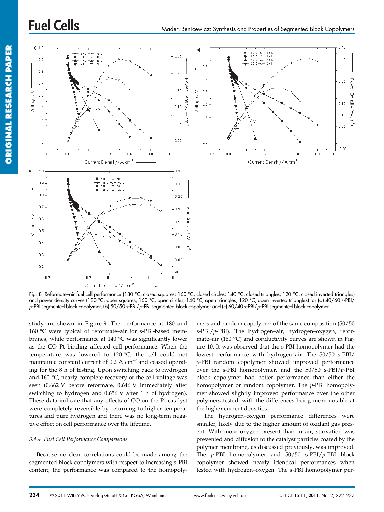

Fig. 8 Reformate–air fuel cell performance (180 °C, closed squares; 160 °C, closed circles; 140 °C, closed triangles; 120 °C, closed inverted triangles) and power density curves (180 °C, open squares; 160 °C, open circles; 140 °C, open triangles; 120 °C, open inverted triangles) for (a) 40/60 s-PBI/ p-PBI segmented block copolymer, (b) 50/50 s-PBI/p-PBI segmented block copolymer and (c) 60/40 s-PBI/p-PBI segmented block copolymer.

study are shown in Figure 9. The performance at 180 and 160 °C were typical of reformate–air for s-PBI-based membranes, while performance at 140 °C was significantly lower as the CO–Pt binding affected cell performance. When the temperature was lowered to  $120\text{ °C}$ , the cell could not maintain a constant current of  $0.2 \text{ A cm}^{-2}$  and ceased operating for the 8 h of testing. Upon switching back to hydrogen and 160 °C, nearly complete recovery of the cell voltage was seen (0.662 V before reformate, 0.646 V immediately after switching to hydrogen and 0.656 V after 1 h of hydrogen). These data indicate that any effects of CO on the Pt catalyst were completely reversible by returning to higher temperatures and pure hydrogen and there was no long-term negative effect on cell performance over the lifetime.

#### *3.4.4 Fuel Cell Performance Comparisons*

Because no clear correlations could be made among the segmented block copolymers with respect to increasing s-PBI content, the performance was compared to the homopoly-

mers and random copolymer of the same composition (50/50 s-PBI/*p*-PBI). The hydrogen–air, hydrogen–oxygen, reformate–air (160 $\degree$ C) and conductivity curves are shown in Figure 10. It was observed that the s-PBI homopolymer had the lowest performance with hydrogen–air. The 50/50 s-PBI/ *p*-PBI random copolymer showed improved performance over the s-PBI homopolymer, and the 50/50 s-PBI/*p*-PBI block copolymer had better performance than either the homopolymer or random copolymer. The *p*-PBI homopolymer showed slightly improved performance over the other polymers tested, with the differences being more notable at the higher current densities.

The hydrogen–oxygen performance differences were smaller, likely due to the higher amount of oxidant gas present. With more oxygen present than in air, starvation was prevented and diffusion to the catalyst particles coated by the polymer membrane, as discussed previously, was improved. The *p*-PBI homopolymer and 50/50 s-PBI/*p*-PBI block copolymer showed nearly identical performances when tested with hydrogen–oxygen. The s-PBI homopolymer per-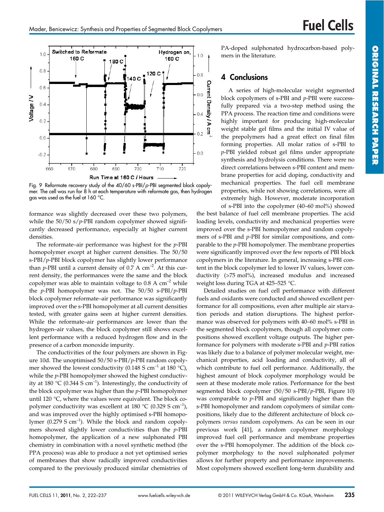

Fig. 9 Reformate recovery study of the 40/60 s-PBI/p-PBI segmented block copolymer. The cell was run for 8 h at each temperature with reformate gas, then hydrogen gas was used as the fuel at 160 °C.

formance was slightly decreased over these two polymers, while the 50/50 s/p-PBI random copolymer showed significantly decreased performance, especially at higher current densities.

The reformate–air performance was highest for the *p*-PBI homopolymer except at higher current densities. The 50/50 s-PBI/*p*-PBI block copolymer has slightly lower performance than *p*-PBI until a current density of 0.7 A  $cm^{-2}$ . At this current density, the performances were the same and the block copolymer was able to maintain voltage to  $0.8 \text{ A cm}^{-2}$  while the *p*-PBI homopolymer was not. The 50/50 s-PBI/*p*-PBI block copolymer reformate–air performance was significantly improved over the s-PBI homopolymer at all current densities tested, with greater gains seen at higher current densities. While the reformate–air performances are lower than the hydrogen–air values, the block copolymer still shows excellent performance with a reduced hydrogen flow and in the presence of a carbon monoxide impurity.

The conductivities of the four polymers are shown in Figure 10d. The unoptimised 50/50 s-PBI/*p*-PBI random copolymer showed the lowest conductivity (0.148 S cm<sup>-1</sup> at 180 °C), while the *p*-PBI homopolymer showed the highest conductivity at 180 °C (0.344 S cm<sup>-1</sup>). Interestingly, the conductivity of the block copolymer was higher than the *p*-PBI homopolymer until 120 °C, where the values were equivalent. The block copolymer conductivity was excellent at 180  $^{\circ}$ C (0.329 S cm<sup>-1</sup>), and was improved over the highly optimised s-PBI homopolymer  $(0.279 S cm^{-1})$ . While the block and random copolymers showed slightly lower conductivities than the *p*-PBI homopolymer, the application of a new sulphonated PBI chemistry in combination with a novel synthetic method (the PPA process) was able to produce a not yet optimised series of membranes that show radically improved conductivities compared to the previously produced similar chemistries of PA-doped sulphonated hydrocarbon-based polymers in the literature.

## 4 Conclusions

A series of high-molecular weight segmented block copolymers of s-PBI and *p*-PBI were successfully prepared via a two-step method using the PPA process. The reaction time and conditions were highly important for producing high-molecular weight stable gel films and the initial IV value of the prepolymers had a great effect on final film forming properties. All molar ratios of s-PBI to *p*-PBI yielded robust gel films under appropriate synthesis and hydrolysis conditions. There were no direct correlations between s-PBI content and membrane properties for acid doping, conductivity and mechanical properties. The fuel cell membrane properties, while not showing correlations, were all extremely high. However, moderate incorporation

of s-PBI into the copolymer (40–60 mol%) showed the best balance of fuel cell membrane properties. The acid loading levels, conductivity and mechanical properties were improved over the s-PBI homopolymer and random copolymers of s-PBI and *p*-PBI for similar compositions, and comparable to the *p*-PBI homopolymer. The membrane properties were significantly improved over the few reports of PBI block copolymers in the literature. In general, increasing s-PBI content in the block copolymer led to lower IV values, lower conductivity (>75 mol%), increased modulus and increased weight loss during TGA at 425–525 °C.

Detailed studies on fuel cell performance with different fuels and oxidants were conducted and showed excellent performance for all compositions, even after multiple air starvation periods and station disruptions. The highest performance was observed for polymers with 40–60 mol% s-PBI in the segmented block copolymers, though all copolymer compositions showed excellent voltage outputs. The higher performance for polymers with moderate s-PBI and *p*-PBI ratios was likely due to a balance of polymer molecular weight, mechanical properties, acid loading and conductivity, all of which contribute to fuel cell performance. Additionally, the highest amount of block copolymer morphology would be seen at these moderate mole ratios. Performance for the best segmented block copolymer (50/50 s-PBI/*p*-PBI, Figure 10) was comparable to *p*-PBI and significantly higher than the s-PBI homopolymer and random copolymers of similar compositions, likely due to the different architecture of block copolymers *versus* random copolymers. As can be seen in our previous work [41], a random copolymer morphology improved fuel cell performance and membrane properties over the s-PBI homopolymer. The addition of the block copolymer morphology to the novel sulphonated polymer allows for further property and performance improvements. Most copolymers showed excellent long-term durability and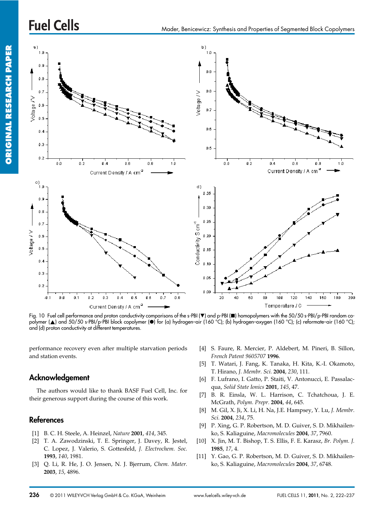

Fig. 10 Fuel cell performance and proton conductivity comparisons of the s-PBI (V) and p-PBI (D) homopolymers with the 50/50 s-PBI/p-PBI random copolymer (A) and 50/50 s-PBI/p-PBI block copolymer (O) for (a) hydrogen-air (160 °C); (b) hydrogen-oxygen (160 °C); (c) reformate-air (160 °C); and (d) proton conductivity at different temperatures.

performance recovery even after multiple starvation periods and station events.

## Acknowledgement

The authors would like to thank BASF Fuel Cell, Inc. for their generous support during the course of this work.

## References

- [1] B. C. H. Steele, A. Heinzel, *Nature* **2001**, *414*, 345.
- [2] T. A. Zawodzinski, T. E. Springer, J. Davey, R. Jestel, C. Lopez, J. Valerio, S. Gottesfeld, *J. Electrochem. Soc.* **1993**, *140*, 1981.
- [3] Q. Li, R. He, J. O. Jensen, N. J. Bjerrum, *Chem. Mater.* **2003**, *15*, 4896.
- [4] S. Faure, R. Mercier, P. Aldebert, M. Pineri, B. Sillon, *French Patent 9605707* **1996**.
- [5] T. Watari, J. Fang, K. Tanaka, H. Kita, K.-I. Okamoto, T. Hirano, *J. Membr. Sci.* **2004**, *230*, 111.
- [6] F. Lufrano, I. Gatto, P. Staiti, V. Antonucci, E. Passalacqua, *Solid State Ionics* **2001**, *145*, 47.
- [7] B. R. Einsla, W. L. Harrison, C. Tchatchoua, J. E. McGrath, *Polym. Prepr.* **2004**, *44*, 645.
- [8] M. Gil, X. Ji, X. Li, H. Na, J.E. Hampsey, Y. Lu, *J. Membr. Sci.* **2004**, *234*, 75.
- [9] P. Xing, G. P. Robertson, M. D. Guiver, S. D. Mikhailenko, S. Kaliaguine, *Macromolecules* **2004**, *37*, 7960.
- [10] X. Jin, M. T. Bishop, T. S. Ellis, F. E. Karasz, *Br. Polym. J.* **1985**, *17*, 4.
- [11] Y. Gao, G. P. Robertson, M. D. Guiver, S. D. Mikhailenko, S. Kaliaguine, *Macromolecules* **2004**, *37*, 6748.